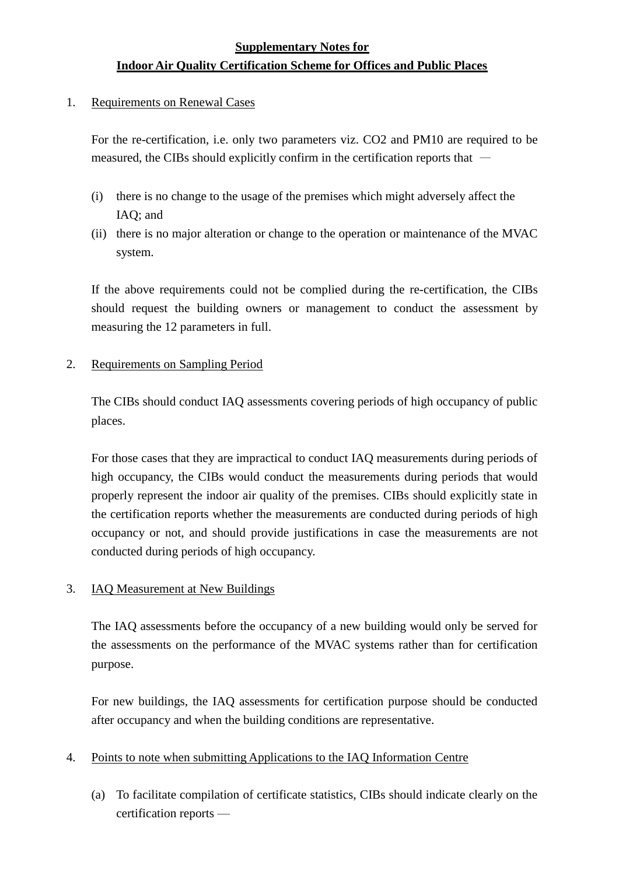# **Supplementary Notes for Indoor Air Quality Certification Scheme for Offices and Public Places**

1. Requirements on Renewal Cases

For the re-certification, i.e. only two parameters viz. CO2 and PM10 are required to be measured, the CIBs should explicitly confirm in the certification reports that —

- (i) there is no change to the usage of the premises which might adversely affect the IAQ; and
- (ii) there is no major alteration or change to the operation or maintenance of the MVAC system.

If the above requirements could not be complied during the re-certification, the CIBs should request the building owners or management to conduct the assessment by measuring the 12 parameters in full.

#### 2. Requirements on Sampling Period

The CIBs should conduct IAQ assessments covering periods of high occupancy of public places.

For those cases that they are impractical to conduct IAQ measurements during periods of high occupancy, the CIBs would conduct the measurements during periods that would properly represent the indoor air quality of the premises. CIBs should explicitly state in the certification reports whether the measurements are conducted during periods of high occupancy or not, and should provide justifications in case the measurements are not conducted during periods of high occupancy.

#### 3. IAQ Measurement at New Buildings

The IAQ assessments before the occupancy of a new building would only be served for the assessments on the performance of the MVAC systems rather than for certification purpose.

For new buildings, the IAQ assessments for certification purpose should be conducted after occupancy and when the building conditions are representative.

#### 4. Points to note when submitting Applications to the IAQ Information Centre

(a) To facilitate compilation of certificate statistics, CIBs should indicate clearly on the certification reports —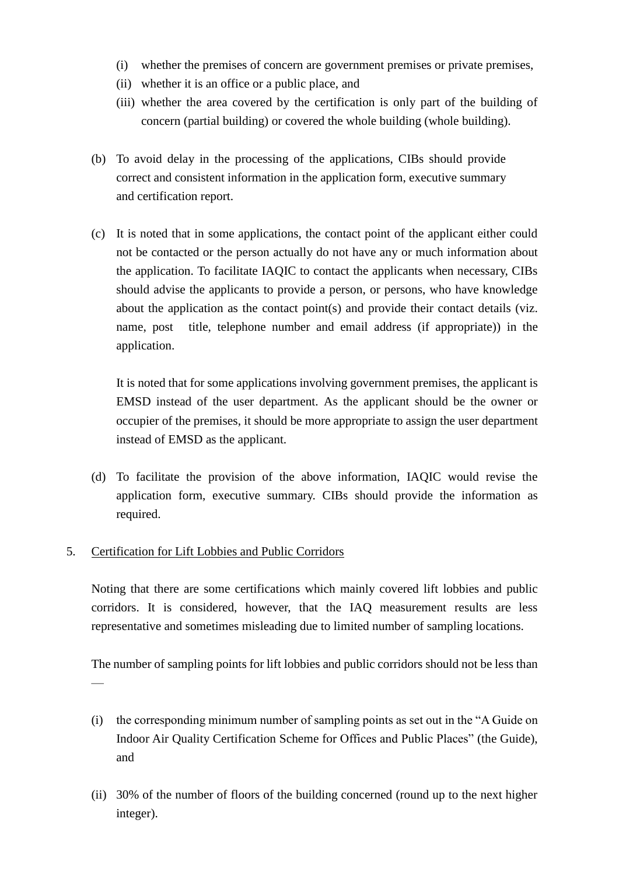- (i) whether the premises of concern are government premises or private premises,
- (ii) whether it is an office or a public place, and
- (iii) whether the area covered by the certification is only part of the building of concern (partial building) or covered the whole building (whole building).
- (b) To avoid delay in the processing of the applications, CIBs should provide correct and consistent information in the application form, executive summary and certification report.
- (c) It is noted that in some applications, the contact point of the applicant either could not be contacted or the person actually do not have any or much information about the application. To facilitate IAQIC to contact the applicants when necessary, CIBs should advise the applicants to provide a person, or persons, who have knowledge about the application as the contact point(s) and provide their contact details (viz. name, post title, telephone number and email address (if appropriate)) in the application.

It is noted that for some applications involving government premises, the applicant is EMSD instead of the user department. As the applicant should be the owner or occupier of the premises, it should be more appropriate to assign the user department instead of EMSD as the applicant.

(d) To facilitate the provision of the above information, IAQIC would revise the application form, executive summary. CIBs should provide the information as required.

#### 5. Certification for Lift Lobbies and Public Corridors

—

Noting that there are some certifications which mainly covered lift lobbies and public corridors. It is considered, however, that the IAQ measurement results are less representative and sometimes misleading due to limited number of sampling locations.

The number of sampling points for lift lobbies and public corridors should not be less than

- (i) the corresponding minimum number of sampling points as set out in the "A Guide on Indoor Air Quality Certification Scheme for Offices and Public Places" (the Guide), and
- (ii) 30% of the number of floors of the building concerned (round up to the next higher integer).